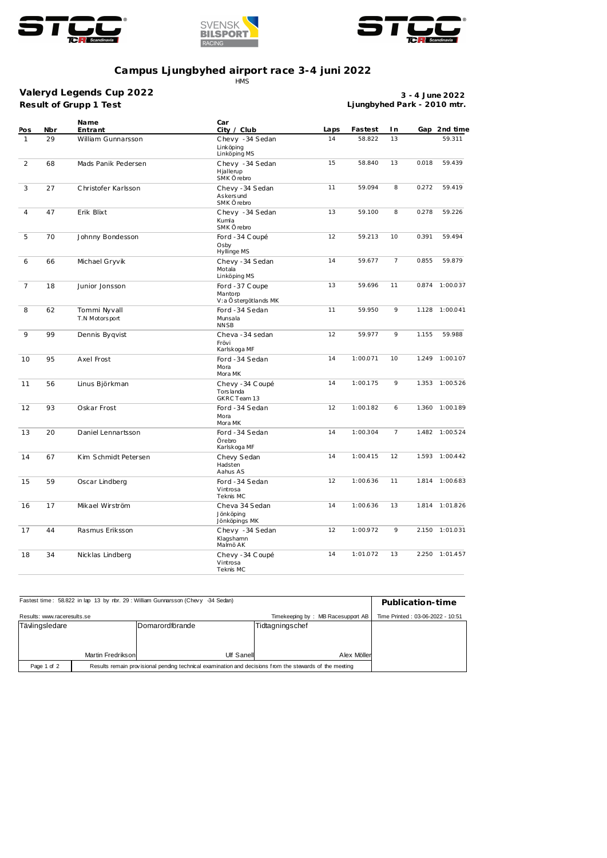





## **Campus Ljungbyhed airport race 3-4 juni 2022** HMS

**Result of Grupp 1 Test Valeryd Legends Cup 2022**

**3 - 4 June 2022 Ljungbyhed Park - 2010 mtr.**

| Pos            | Nbr | Name<br>Entrant                | Car<br>City / Club                                | Laps         | Fastest  | I n            |       | Gap 2nd time   |
|----------------|-----|--------------------------------|---------------------------------------------------|--------------|----------|----------------|-------|----------------|
| $\mathbf{1}$   | 29  | William Gunnarsson             | Chevy -34 Sedan<br>Linköping<br>Linköping MS      | 14           | 58.822   | 13             |       | 59.311         |
| 2              | 68  | Mads Panik Pedersen            | Chevy -34 Sedan<br>Hjallerup<br>SMK Örebro        | 15           | 58.840   | 13             | 0.018 | 59.439         |
| 3              | 27  | Christofer Karlsson            | Chevy - 34 Sedan<br>As kers und<br>SMK Örebro     | 11           | 59.094   | 8              | 0.272 | 59.419         |
| $\overline{4}$ | 47  | Erik Blixt                     | Chevy -34 Sedan<br>Kumla<br>SMK Örebro            | 13           | 59.100   | 8              | 0.278 | 59.226         |
| 5              | 70  | Johnny Bondesson               | Ford -34 Coupé<br>Osby<br>Hyllinge MS             | 12<br>59.213 |          | 10             | 0.391 | 59.494         |
| 6              | 66  | Michael Gryvik                 | Chevy -34 Sedan<br>Motala<br>Linköping MS         | 14<br>59.677 |          | $\overline{7}$ | 0.855 | 59.879         |
| $\overline{7}$ | 18  | Junior Jonsson                 | Ford -37 Coupe<br>Mantorp<br>V:a Östergötlands MK | 13           | 59.696   | 11             |       | 0.874 1:00.037 |
| 8              | 62  | Tommi Nyvall<br>T.N Motorsport | Ford -34 Sedan<br>Munsala<br><b>NNSB</b>          | 11           | 59.950   | 9              | 1.128 | 1:00.041       |
| 9              | 99  | Dennis Byqvist                 | Cheva -34 sedan<br>Frövi<br>Karlskoga MF          | 12           | 59.977   | 9              | 1.155 | 59.988         |
| 10             | 95  | Axel Frost                     | Ford -34 Sedan<br>Mora<br>Mora MK                 | 14           | 1:00.071 | 10             |       | 1.249 1:00.107 |
| 11             | 56  | Linus Björkman                 | Chevy - 34 Coupé<br>Tors landa<br>GKRC Team 13    | 14           | 1:00.175 | 9              | 1.353 | 1:00.526       |
| 12             | 93  | Oskar Frost                    | Ford -34 Sedan<br>Mora<br>Mora MK                 | 12           | 1:00.182 | 6              |       | 1.360 1:00.189 |
| 13             | 20  | Daniel Lennartsson             | Ford -34 Sedan<br>Örebro<br>Karlskoga MF          | 14           | 1:00.304 | $\overline{7}$ |       | 1.482 1:00.524 |
| 14             | 67  | Kim Schmidt Petersen           | Chevy Sedan<br>Hadsten<br>Aahus AS                | 14           | 1:00.415 | 12             |       | 1.593 1:00.442 |
| 15             | 59  | Oscar Lindberg                 | Ford -34 Sedan<br>Vintrosa<br>Teknis MC           | 12           | 1:00.636 | 11             |       | 1.814 1:00.683 |
| 16             | 17  | Mikael Wirström                | Cheva 34 Sedan<br>Jönköping<br>Jönköpings MK      | 14           | 1:00.636 | 13             |       | 1.814 1:01.826 |
| 17             | 44  | Rasmus Eriksson                | Chevy -34 Sedan<br>Klagshamn<br>Malmö AK          | 12           | 1:00.972 | 9              |       | 2.150 1:01.031 |
| 18             | 34  | Nicklas Lindberg               | Chevy - 34 Coupé<br>Vintrosa<br>Teknis MC         | 14           | 1:01.072 | 13             |       | 2.250 1:01.457 |

| Fastest time: 58.822 in lap 13 by rbr. 29: William Gunnarsson (Chevy -34 Sedan)                                        | Publication-time                 |                  |                 |  |
|------------------------------------------------------------------------------------------------------------------------|----------------------------------|------------------|-----------------|--|
| Results: www.raceresults.se                                                                                            | Time Printed: 03-06-2022 - 10:51 |                  |                 |  |
| Tävlingsledare                                                                                                         |                                  | lDomarordförande | Tidtagningschef |  |
|                                                                                                                        |                                  |                  |                 |  |
|                                                                                                                        |                                  |                  |                 |  |
|                                                                                                                        | Martin Fredriksonl               | Ulf Sanell       | Alex Möller     |  |
| Page 1 of 2<br>Results remain provisional pending technical examination and decisions from the stewards of the meeting |                                  |                  |                 |  |